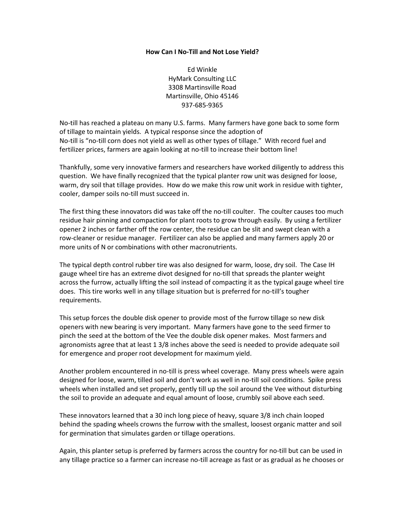## **How Can I No-Till and Not Lose Yield?**

Ed Winkle HyMark Consulting LLC 3308 Martinsville Road Martinsville, Ohio 45146 937-685-9365

No-till has reached a plateau on many U.S. farms. Many farmers have gone back to some form of tillage to maintain yields. A typical response since the adoption of No-till is "no-till corn does not yield as well as other types of tillage." With record fuel and fertilizer prices, farmers are again looking at no-till to increase their bottom line!

Thankfully, some very innovative farmers and researchers have worked diligently to address this question. We have finally recognized that the typical planter row unit was designed for loose, warm, dry soil that tillage provides. How do we make this row unit work in residue with tighter, cooler, damper soils no-till must succeed in.

The first thing these innovators did was take off the no-till coulter. The coulter causes too much residue hair pinning and compaction for plant roots to grow through easily. By using a fertilizer opener 2 inches or farther off the row center, the residue can be slit and swept clean with a row-cleaner or residue manager. Fertilizer can also be applied and many farmers apply 20 or more units of N or combinations with other macronutrients.

The typical depth control rubber tire was also designed for warm, loose, dry soil. The Case IH gauge wheel tire has an extreme divot designed for no-till that spreads the planter weight across the furrow, actually lifting the soil instead of compacting it as the typical gauge wheel tire does. This tire works well in any tillage situation but is preferred for no-till's tougher requirements.

This setup forces the double disk opener to provide most of the furrow tillage so new disk openers with new bearing is very important. Many farmers have gone to the seed firmer to pinch the seed at the bottom of the Vee the double disk opener makes. Most farmers and agronomists agree that at least 1 3/8 inches above the seed is needed to provide adequate soil for emergence and proper root development for maximum yield.

Another problem encountered in no-till is press wheel coverage. Many press wheels were again designed for loose, warm, tilled soil and don't work as well in no-till soil conditions. Spike press wheels when installed and set properly, gently till up the soil around the Vee without disturbing the soil to provide an adequate and equal amount of loose, crumbly soil above each seed.

These innovators learned that a 30 inch long piece of heavy, square 3/8 inch chain looped behind the spading wheels crowns the furrow with the smallest, loosest organic matter and soil for germination that simulates garden or tillage operations.

Again, this planter setup is preferred by farmers across the country for no-till but can be used in any tillage practice so a farmer can increase no-till acreage as fast or as gradual as he chooses or